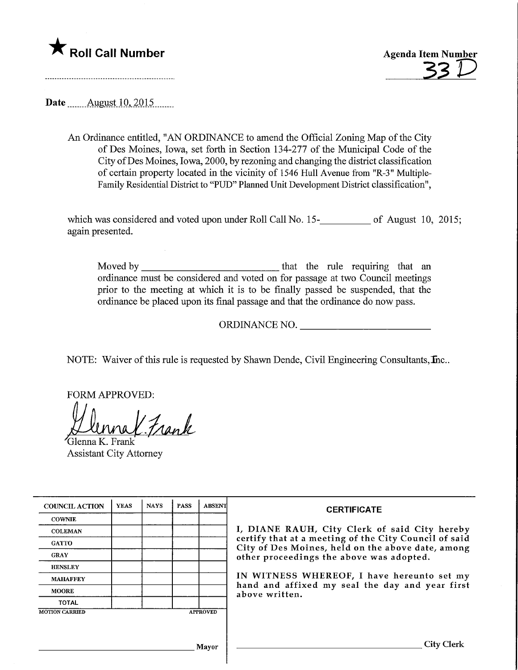

Date ........Augyst.10,2015.

An Ordinance entitled, "AN ORDINANCE to amend the Official Zoning Map of the City of Des Moines, Iowa, set forth in Section 134-277 of the Municipal Code of the City ofDes Moines, Iowa, 2000, by rezoning and changing the district classification of certain property located in the vicinity of 1546 Hull Avenue from "R-3" Multiple-Family Residential District to "PUD" Planned Unit Development District classification",

which was considered and voted upon under Roll Call No. 15-<br>15. of August 10, 2015 again presented.

Moved by that the rule requiring that an ordinance must be considered and voted on for passage at two Council meetings prior to the meeting at which it is to be finally passed be suspended, that the ordinance be placed upon its final passage and that the ordinance do now pass.

ORDINANCE NO.

NOTE: Waiver of this rule is requested by Shawn Dende, Civil Engineering Consultants, Inc..

FORM APPROVED:

K. Frank

Glenna K. Frank Assistant City Attorney

| <b>COUNCIL ACTION</b> | <b>YEAS</b> | <b>NAYS</b> | <b>PASS</b> | <b>ABSENT</b>   | <b>CERTIFICATE</b><br>I, DIANE RAUH, City Clerk of said City hereby<br>certify that at a meeting of the City Council of said<br>City of Des Moines, held on the above date, among<br>other proceedings the above was adopted.<br>IN WITNESS WHEREOF, I have hereunto set my<br>hand and affixed my seal the day and year first<br>above written. |
|-----------------------|-------------|-------------|-------------|-----------------|--------------------------------------------------------------------------------------------------------------------------------------------------------------------------------------------------------------------------------------------------------------------------------------------------------------------------------------------------|
| <b>COWNIE</b>         |             |             |             |                 |                                                                                                                                                                                                                                                                                                                                                  |
| <b>COLEMAN</b>        |             |             |             |                 |                                                                                                                                                                                                                                                                                                                                                  |
| <b>GATTO</b>          |             |             |             |                 |                                                                                                                                                                                                                                                                                                                                                  |
| <b>GRAY</b>           |             |             |             |                 |                                                                                                                                                                                                                                                                                                                                                  |
| <b>HENSLEY</b>        |             |             |             |                 |                                                                                                                                                                                                                                                                                                                                                  |
| <b>MAHAFFEY</b>       |             |             |             |                 |                                                                                                                                                                                                                                                                                                                                                  |
| <b>MOORE</b>          |             |             |             |                 |                                                                                                                                                                                                                                                                                                                                                  |
| <b>TOTAL</b>          |             |             |             |                 |                                                                                                                                                                                                                                                                                                                                                  |
| <b>MOTION CARRIED</b> |             |             |             | <b>APPROVED</b> |                                                                                                                                                                                                                                                                                                                                                  |
|                       |             |             |             |                 |                                                                                                                                                                                                                                                                                                                                                  |
|                       |             |             |             | <b>Mayor</b>    | City Clerk                                                                                                                                                                                                                                                                                                                                       |